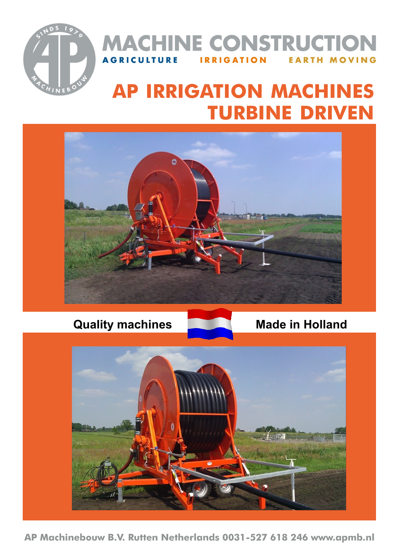

#### **MACHINE CONSTRUCTION AGRICULTURE IRRIGATION EARTH MOVING**

# **AP IRRIGATION MACHINES TURBINE DRIVEN**



**Quality machines** Made in Holland



**AP Machinebouw B.V. Rutten Netherlands 0031-527 618 246 www.apmb.nl**